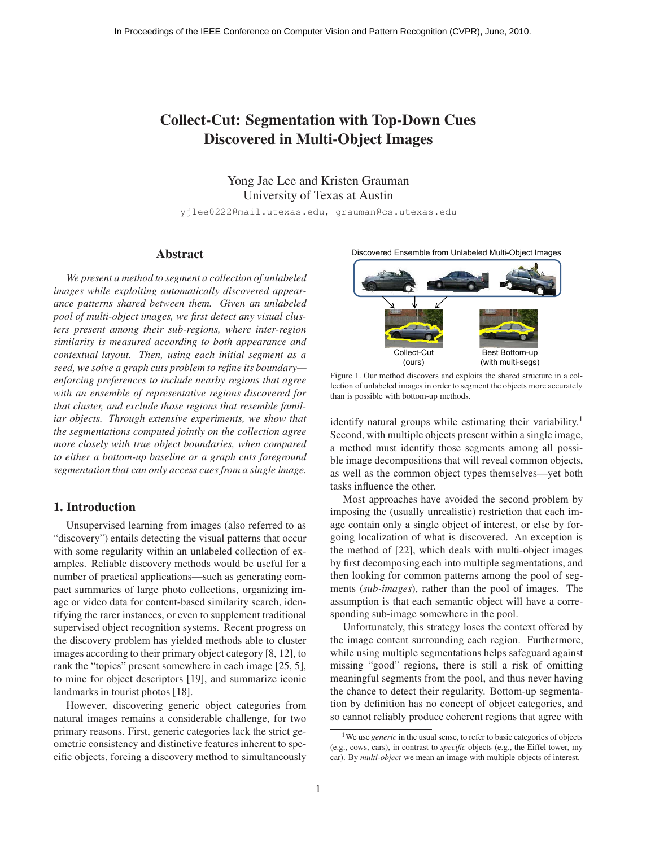# **Collect-Cut: Segmentation with Top-Down Cues Discovered in Multi-Object Images**

Yong Jae Lee and Kristen Grauman University of Texas at Austin

yjlee0222@mail.utexas.edu, grauman@cs.utexas.edu

# **Abstract**

*We present a method to segment a collection of unlabeled images while exploiting automatically discovered appearance patterns shared between them. Given an unlabeled pool of multi-object images, we first detect any visual clusters present among their sub-regions, where inter-region similarity is measured according to both appearance and contextual layout. Then, using each initial segment as a seed, we solve a graph cuts problem to refine its boundary enforcing preferences to include nearby regions that agree with an ensemble of representative regions discovered for that cluster, and exclude those regions that resemble familiar objects. Through extensive experiments, we show that the segmentations computed jointly on the collection agree more closely with true object boundaries, when compared to either a bottom-up baseline or a graph cuts foreground segmentation that can only access cues from a single image.*

# **1. Introduction**

Unsupervised learning from images (also referred to as "discovery") entails detecting the visual patterns that occur with some regularity within an unlabeled collection of examples. Reliable discovery methods would be useful for a number of practical applications—such as generating compact summaries of large photo collections, organizing image or video data for content-based similarity search, identifying the rarer instances, or even to supplement traditional supervised object recognition systems. Recent progress on the discovery problem has yielded methods able to cluster images according to their primary object category [8, 12], to rank the "topics" present somewhere in each image [25, 5], to mine for object descriptors [19], and summarize iconic landmarks in tourist photos [18].

However, discovering generic object categories from natural images remains a considerable challenge, for two primary reasons. First, generic categories lack the strict geometric consistency and distinctive features inherent to specific objects, forcing a discovery method to simultaneously



Figure 1. Our method discovers and exploits the shared structure in a collection of unlabeled images in order to segment the objects more accurately than is possible with bottom-up methods.

identify natural groups while estimating their variability.<sup>1</sup> Second, with multiple objects present within a single image, a method must identify those segments among all possible image decompositions that will reveal common objects, as well as the common object types themselves—yet both tasks influence the other.

Most approaches have avoided the second problem by imposing the (usually unrealistic) restriction that each image contain only a single object of interest, or else by forgoing localization of what is discovered. An exception is the method of [22], which deals with multi-object images by first decomposing each into multiple segmentations, and then looking for common patterns among the pool of segments (*sub-images*), rather than the pool of images. The assumption is that each semantic object will have a corresponding sub-image somewhere in the pool.

Unfortunately, this strategy loses the context offered by the image content surrounding each region. Furthermore, while using multiple segmentations helps safeguard against missing "good" regions, there is still a risk of omitting meaningful segments from the pool, and thus never having the chance to detect their regularity. Bottom-up segmentation by definition has no concept of object categories, and so cannot reliably produce coherent regions that agree with

<sup>&</sup>lt;sup>1</sup>We use *generic* in the usual sense, to refer to basic categories of objects (e.g., cows, cars), in contrast to *specific* objects (e.g., the Eiffel tower, my car). By *multi-object* we mean an image with multiple objects of interest.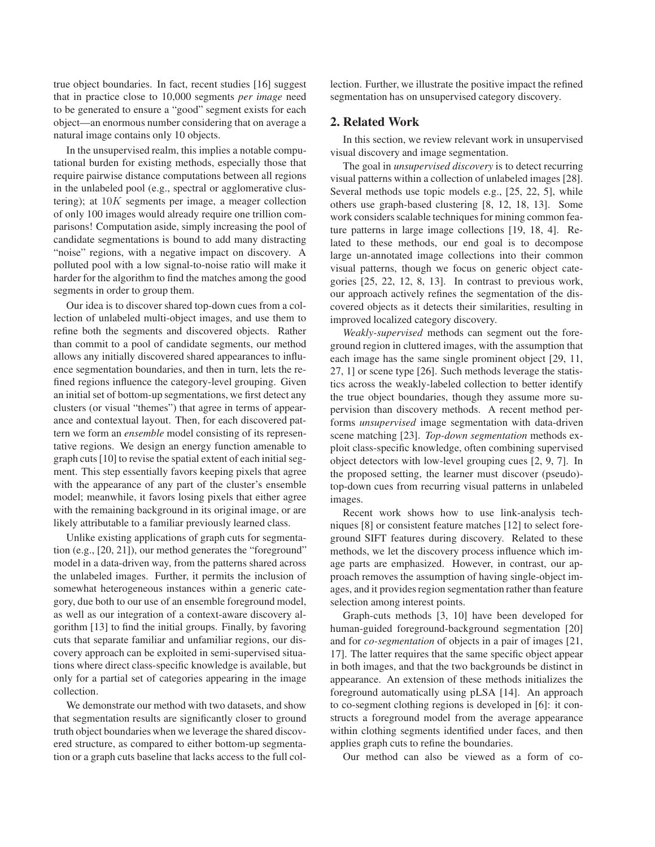true object boundaries. In fact, recent studies [16] suggest that in practice close to 10,000 segments *per image* need to be generated to ensure a "good" segment exists for each object—an enormous number considering that on average a natural image contains only 10 objects.

In the unsupervised realm, this implies a notable computational burden for existing methods, especially those that require pairwise distance computations between all regions in the unlabeled pool (e.g., spectral or agglomerative clustering); at 10K segments per image, a meager collection of only 100 images would already require one trillion comparisons! Computation aside, simply increasing the pool of candidate segmentations is bound to add many distracting "noise" regions, with a negative impact on discovery. A polluted pool with a low signal-to-noise ratio will make it harder for the algorithm to find the matches among the good segments in order to group them.

Our idea is to discover shared top-down cues from a collection of unlabeled multi-object images, and use them to refine both the segments and discovered objects. Rather than commit to a pool of candidate segments, our method allows any initially discovered shared appearances to influence segmentation boundaries, and then in turn, lets the refined regions influence the category-level grouping. Given an initial set of bottom-up segmentations, we first detect any clusters (or visual "themes") that agree in terms of appearance and contextual layout. Then, for each discovered pattern we form an *ensemble* model consisting of its representative regions. We design an energy function amenable to graph cuts [10] to revise the spatial extent of each initial segment. This step essentially favors keeping pixels that agree with the appearance of any part of the cluster's ensemble model; meanwhile, it favors losing pixels that either agree with the remaining background in its original image, or are likely attributable to a familiar previously learned class.

Unlike existing applications of graph cuts for segmentation (e.g., [20, 21]), our method generates the "foreground" model in a data-driven way, from the patterns shared across the unlabeled images. Further, it permits the inclusion of somewhat heterogeneous instances within a generic category, due both to our use of an ensemble foreground model, as well as our integration of a context-aware discovery algorithm [13] to find the initial groups. Finally, by favoring cuts that separate familiar and unfamiliar regions, our discovery approach can be exploited in semi-supervised situations where direct class-specific knowledge is available, but only for a partial set of categories appearing in the image collection.

We demonstrate our method with two datasets, and show that segmentation results are significantly closer to ground truth object boundaries when we leverage the shared discovered structure, as compared to either bottom-up segmentation or a graph cuts baseline that lacks access to the full collection. Further, we illustrate the positive impact the refined segmentation has on unsupervised category discovery.

## **2. Related Work**

In this section, we review relevant work in unsupervised visual discovery and image segmentation.

The goal in *unsupervised discovery* is to detect recurring visual patterns within a collection of unlabeled images [28]. Several methods use topic models e.g., [25, 22, 5], while others use graph-based clustering [8, 12, 18, 13]. Some work considers scalable techniques for mining common feature patterns in large image collections [19, 18, 4]. Related to these methods, our end goal is to decompose large un-annotated image collections into their common visual patterns, though we focus on generic object categories [25, 22, 12, 8, 13]. In contrast to previous work, our approach actively refines the segmentation of the discovered objects as it detects their similarities, resulting in improved localized category discovery.

*Weakly-supervised* methods can segment out the foreground region in cluttered images, with the assumption that each image has the same single prominent object [29, 11, 27, 1] or scene type [26]. Such methods leverage the statistics across the weakly-labeled collection to better identify the true object boundaries, though they assume more supervision than discovery methods. A recent method performs *unsupervised* image segmentation with data-driven scene matching [23]. *Top-down segmentation* methods exploit class-specific knowledge, often combining supervised object detectors with low-level grouping cues [2, 9, 7]. In the proposed setting, the learner must discover (pseudo) top-down cues from recurring visual patterns in unlabeled images.

Recent work shows how to use link-analysis techniques [8] or consistent feature matches [12] to select foreground SIFT features during discovery. Related to these methods, we let the discovery process influence which image parts are emphasized. However, in contrast, our approach removes the assumption of having single-object images, and it provides region segmentation rather than feature selection among interest points.

Graph-cuts methods [3, 10] have been developed for human-guided foreground-background segmentation [20] and for *co-segmentation* of objects in a pair of images [21, 17]. The latter requires that the same specific object appear in both images, and that the two backgrounds be distinct in appearance. An extension of these methods initializes the foreground automatically using pLSA [14]. An approach to co-segment clothing regions is developed in [6]: it constructs a foreground model from the average appearance within clothing segments identified under faces, and then applies graph cuts to refine the boundaries.

Our method can also be viewed as a form of co-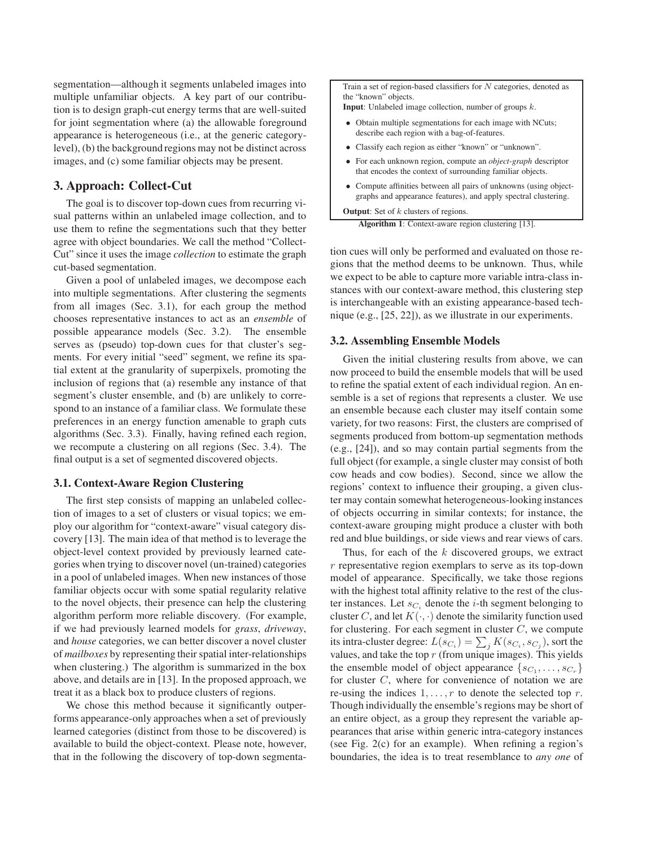segmentation—although it segments unlabeled images into multiple unfamiliar objects. A key part of our contribution is to design graph-cut energy terms that are well-suited for joint segmentation where (a) the allowable foreground appearance is heterogeneous (i.e., at the generic categorylevel), (b) the background regions may not be distinct across images, and (c) some familiar objects may be present.

## **3. Approach: Collect-Cut**

The goal is to discover top-down cues from recurring visual patterns within an unlabeled image collection, and to use them to refine the segmentations such that they better agree with object boundaries. We call the method "Collect-Cut" since it uses the image *collection* to estimate the graph cut-based segmentation.

Given a pool of unlabeled images, we decompose each into multiple segmentations. After clustering the segments from all images (Sec. 3.1), for each group the method chooses representative instances to act as an *ensemble* of possible appearance models (Sec. 3.2). The ensemble serves as (pseudo) top-down cues for that cluster's segments. For every initial "seed" segment, we refine its spatial extent at the granularity of superpixels, promoting the inclusion of regions that (a) resemble any instance of that segment's cluster ensemble, and (b) are unlikely to correspond to an instance of a familiar class. We formulate these preferences in an energy function amenable to graph cuts algorithms (Sec. 3.3). Finally, having refined each region, we recompute a clustering on all regions (Sec. 3.4). The final output is a set of segmented discovered objects.

# **3.1. Context-Aware Region Clustering**

The first step consists of mapping an unlabeled collection of images to a set of clusters or visual topics; we employ our algorithm for "context-aware" visual category discovery [13]. The main idea of that method is to leverage the object-level context provided by previously learned categories when trying to discover novel (un-trained) categories in a pool of unlabeled images. When new instances of those familiar objects occur with some spatial regularity relative to the novel objects, their presence can help the clustering algorithm perform more reliable discovery. (For example, if we had previously learned models for *grass*, *driveway*, and *house* categories, we can better discover a novel cluster of *mailboxes* by representing their spatial inter-relationships when clustering.) The algorithm is summarized in the box above, and details are in [13]. In the proposed approach, we treat it as a black box to produce clusters of regions.

We chose this method because it significantly outperforms appearance-only approaches when a set of previously learned categories (distinct from those to be discovered) is available to build the object-context. Please note, however, that in the following the discovery of top-down segmenta-

Train a set of region-based classifiers for N categories, denoted as the "known" objects.

**Input**: Unlabeled image collection, number of groups k.

- Obtain multiple segmentations for each image with NCuts; describe each region with a bag-of-features.
- Classify each region as either "known" or "unknown".
- For each unknown region, compute an *object-graph* descriptor that encodes the context of surrounding familiar objects.
- Compute affinities between all pairs of unknowns (using objectgraphs and appearance features), and apply spectral clustering.

#### **Output**: Set of k clusters of regions.

```
Algorithm 1: Context-aware region clustering [13].
```
tion cues will only be performed and evaluated on those regions that the method deems to be unknown. Thus, while we expect to be able to capture more variable intra-class instances with our context-aware method, this clustering step is interchangeable with an existing appearance-based technique (e.g., [25, 22]), as we illustrate in our experiments.

### **3.2. Assembling Ensemble Models**

Given the initial clustering results from above, we can now proceed to build the ensemble models that will be used to refine the spatial extent of each individual region. An ensemble is a set of regions that represents a cluster. We use an ensemble because each cluster may itself contain some variety, for two reasons: First, the clusters are comprised of segments produced from bottom-up segmentation methods (e.g., [24]), and so may contain partial segments from the full object (for example, a single cluster may consist of both cow heads and cow bodies). Second, since we allow the regions' context to influence their grouping, a given cluster may contain somewhat heterogeneous-looking instances of objects occurring in similar contexts; for instance, the context-aware grouping might produce a cluster with both red and blue buildings, or side views and rear views of cars.

Thus, for each of the  $k$  discovered groups, we extract r representative region exemplars to serve as its top-down model of appearance. Specifically, we take those regions with the highest total affinity relative to the rest of the cluster instances. Let  $s_{C_i}$  denote the *i*-th segment belonging to cluster C, and let  $K(\cdot, \cdot)$  denote the similarity function used for clustering. For each segment in cluster  $C$ , we compute its intra-cluster degree:  $L(s_{C_i}) = \sum_j K(s_{C_i}, s_{C_j})$ , sort the values, and take the top  $r$  (from unique images). This yields the ensemble model of object appearance  $\{s_{C_1}, \ldots, s_{C_r}\}$ for cluster C, where for convenience of notation we are re-using the indices  $1, \ldots, r$  to denote the selected top r. Though individually the ensemble's regions may be short of an entire object, as a group they represent the variable appearances that arise within generic intra-category instances (see Fig. 2(c) for an example). When refining a region's boundaries, the idea is to treat resemblance to *any one* of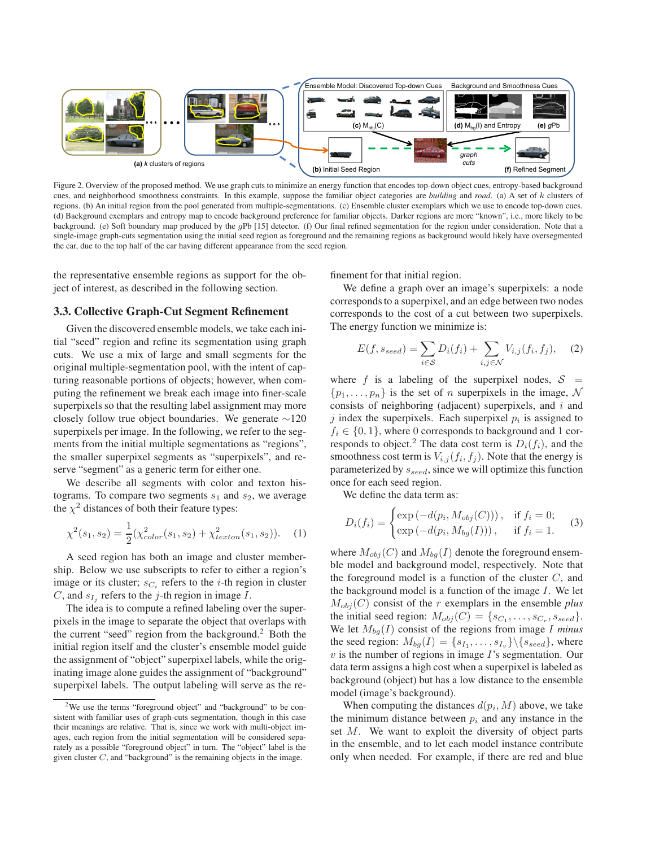

Figure 2. Overview of the proposed method. We use graph cuts to minimize an energy function that encodes top-down object cues, entropy-based background cues, and neighborhood smoothness constraints. In this example, suppose the familiar object categories are *building* and *road*. (a) A set of k clusters of regions. (b) An initial region from the pool generated from multiple-segmentations. (c) Ensemble cluster exemplars which we use to encode top-down cues. (d) Background exemplars and entropy map to encode background preference for familiar objects. Darker regions are more "known", i.e., more likely to be background. (e) Soft boundary map produced by the qPb [15] detector. (f) Our final refined segmentation for the region under consideration. Note that a single-image graph-cuts segmentation using the initial seed region as foreground and the remaining regions as background would likely have oversegmented the car, due to the top half of the car having different appearance from the seed region.

the representative ensemble regions as support for the object of interest, as described in the following section.

# **3.3. Collective Graph-Cut Segment Refinement**

Given the discovered ensemble models, we take each initial "seed" region and refine its segmentation using graph cuts. We use a mix of large and small segments for the original multiple-segmentation pool, with the intent of capturing reasonable portions of objects; however, when computing the refinement we break each image into finer-scale superpixels so that the resulting label assignment may more closely follow true object boundaries. We generate ∼120 superpixels per image. In the following, we refer to the segments from the initial multiple segmentations as "regions", the smaller superpixel segments as "superpixels", and reserve "segment" as a generic term for either one.

We describe all segments with color and texton histograms. To compare two segments  $s_1$  and  $s_2$ , we average the  $\chi^2$  distances of both their feature types:

$$
\chi^2(s_1, s_2) = \frac{1}{2} (\chi^2_{color}(s_1, s_2) + \chi^2_{text}(s_1, s_2)).
$$
 (1)

A seed region has both an image and cluster membership. Below we use subscripts to refer to either a region's image or its cluster;  $s_{C_i}$  refers to the *i*-th region in cluster C, and  $s_{I_j}$  refers to the j-th region in image I.

The idea is to compute a refined labeling over the superpixels in the image to separate the object that overlaps with the current "seed" region from the background.<sup>2</sup> Both the initial region itself and the cluster's ensemble model guide the assignment of "object" superpixel labels, while the originating image alone guides the assignment of "background" superpixel labels. The output labeling will serve as the refinement for that initial region.

We define a graph over an image's superpixels: a node corresponds to a superpixel, and an edge between two nodes corresponds to the cost of a cut between two superpixels. The energy function we minimize is:

$$
E(f, s_{seed}) = \sum_{i \in S} D_i(f_i) + \sum_{i,j \in \mathcal{N}} V_{i,j}(f_i, f_j), \quad (2)
$$

where f is a labeling of the superpixel nodes,  $S =$  $\{p_1, \ldots, p_n\}$  is the set of n superpixels in the image, N consists of neighboring (adjacent) superpixels, and  $i$  and j index the superpixels. Each superpixel  $p_i$  is assigned to  $f_i \in \{0, 1\}$ , where 0 corresponds to background and 1 corresponds to object.<sup>2</sup> The data cost term is  $D_i(f_i)$ , and the smoothness cost term is  $V_{i,j}(f_i, f_j)$ . Note that the energy is parameterized by  $s_{seed}$ , since we will optimize this function once for each seed region.

We define the data term as:

$$
D_i(f_i) = \begin{cases} \exp(-d(p_i, M_{obj}(C))), & \text{if } f_i = 0; \\ \exp(-d(p_i, M_{bg}(I))), & \text{if } f_i = 1. \end{cases}
$$
 (3)

where  $M_{obj}(C)$  and  $M_{bg}(I)$  denote the foreground ensemble model and background model, respectively. Note that the foreground model is a function of the cluster  $C$ , and the background model is a function of the image  $I$ . We let  $M_{obj}(C)$  consist of the r exemplars in the ensemble *plus* the initial seed region:  $M_{obj}(C) = \{s_{C_1}, \ldots, s_{C_r}, s_{seed}\}.$ We let  $M_{bg}(I)$  consist of the regions from image I *minus* the seed region:  $M_{bg}(I) = \{s_{I_1}, \ldots, s_{I_v}\} \backslash \{s_{seed}\}\text{, where}$  $v$  is the number of regions in image  $I$ 's segmentation. Our data term assigns a high cost when a superpixel is labeled as background (object) but has a low distance to the ensemble model (image's background).

When computing the distances  $d(p_i, M)$  above, we take the minimum distance between  $p_i$  and any instance in the set M. We want to exploit the diversity of object parts in the ensemble, and to let each model instance contribute only when needed. For example, if there are red and blue

 $2$ We use the terms "foreground object" and "background" to be consistent with familiar uses of graph-cuts segmentation, though in this case their meanings are relative. That is, since we work with multi-object images, each region from the initial segmentation will be considered separately as a possible "foreground object" in turn. The "object" label is the given cluster  $C$ , and "background" is the remaining objects in the image.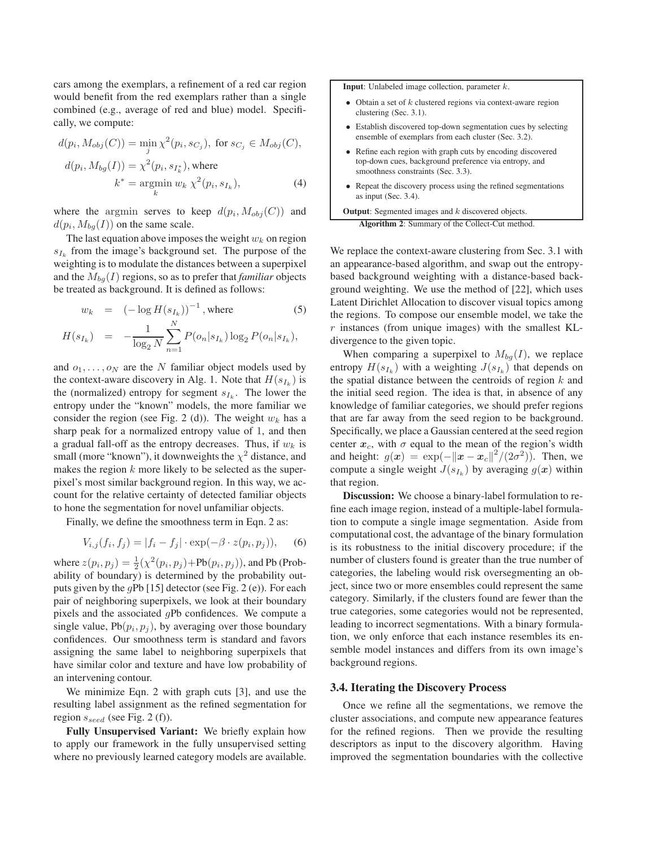cars among the exemplars, a refinement of a red car region would benefit from the red exemplars rather than a single combined (e.g., average of red and blue) model. Specifically, we compute:

$$
d(p_i, M_{obj}(C)) = \min_j \chi^2(p_i, s_{C_j}), \text{ for } s_{C_j} \in M_{obj}(C),
$$
  
\n
$$
d(p_i, M_{bg}(I)) = \chi^2(p_i, s_{I_k^*}), \text{ where}
$$
  
\n
$$
k^* = \operatorname*{argmin}_{k} w_k \chi^2(p_i, s_{I_k}), \tag{4}
$$

where the argmin serves to keep  $d(p_i, M_{obj}(C))$  and  $d(p_i, M_{bg}(I))$  on the same scale.

The last equation above imposes the weight  $w_k$  on region  $s_{I_k}$  from the image's background set. The purpose of the weighting is to modulate the distances between a superpixel and the  $M_{bg}(I)$  regions, so as to prefer that *familiar* objects be treated as background. It is defined as follows:

$$
w_k = (-\log H(s_{I_k}))^{-1}, \text{where}
$$
(5)  

$$
H(s_{I_k}) = -\frac{1}{\log_2 N} \sum_{n=1}^{N} P(o_n | s_{I_k}) \log_2 P(o_n | s_{I_k}),
$$

and  $o_1, \ldots, o_N$  are the N familiar object models used by the context-aware discovery in Alg. 1. Note that  $H(s_{I_k})$  is the (normalized) entropy for segment  $s_{I_k}$ . The lower the entropy under the "known" models, the more familiar we consider the region (see Fig. 2 (d)). The weight  $w_k$  has a sharp peak for a normalized entropy value of 1, and then a gradual fall-off as the entropy decreases. Thus, if  $w_k$  is small (more "known"), it downweights the  $\chi^2$  distance, and makes the region  $k$  more likely to be selected as the superpixel's most similar background region. In this way, we account for the relative certainty of detected familiar objects to hone the segmentation for novel unfamiliar objects.

Finally, we define the smoothness term in Eqn. 2 as:

$$
V_{i,j}(f_i, f_j) = |f_i - f_j| \cdot \exp(-\beta \cdot z(p_i, p_j)), \quad (6)
$$

where  $z(p_i, p_j) = \frac{1}{2}(\chi^2(p_i, p_j) + \text{Pb}(p_i, p_j))$ , and Pb (Probability of boundary) is determined by the probability outputs given by the gPb [15] detector (see Fig. 2 (e)). For each pair of neighboring superpixels, we look at their boundary pixels and the associated gPb confidences. We compute a single value,  $Pb(p_i, p_j)$ , by averaging over those boundary confidences. Our smoothness term is standard and favors assigning the same label to neighboring superpixels that have similar color and texture and have low probability of an intervening contour.

We minimize Eqn. 2 with graph cuts [3], and use the resulting label assignment as the refined segmentation for region  $s_{seed}$  (see Fig. 2 (f)).

**Fully Unsupervised Variant:** We briefly explain how to apply our framework in the fully unsupervised setting where no previously learned category models are available. **Input**: Unlabeled image collection, parameter k.

- Obtain a set of  $k$  clustered regions via context-aware region clustering (Sec. 3.1).
- Establish discovered top-down segmentation cues by selecting ensemble of exemplars from each cluster (Sec. 3.2).
- Refine each region with graph cuts by encoding discovered top-down cues, background preference via entropy, and smoothness constraints (Sec. 3.3).
- Repeat the discovery process using the refined segmentations as input (Sec. 3.4).

**Output**: Segmented images and k discovered objects.

**Algorithm 2**: Summary of the Collect-Cut method.

We replace the context-aware clustering from Sec. 3.1 with an appearance-based algorithm, and swap out the entropybased background weighting with a distance-based background weighting. We use the method of [22], which uses Latent Dirichlet Allocation to discover visual topics among the regions. To compose our ensemble model, we take the  $r$  instances (from unique images) with the smallest KLdivergence to the given topic.

When comparing a superpixel to  $M_{ba}(I)$ , we replace entropy  $H(s_{I_k})$  with a weighting  $J(s_{I_k})$  that depends on the spatial distance between the centroids of region  $k$  and the initial seed region. The idea is that, in absence of any knowledge of familiar categories, we should prefer regions that are far away from the seed region to be background. Specifically, we place a Gaussian centered at the seed region center  $x_c$ , with  $\sigma$  equal to the mean of the region's width and height:  $g(x) = \exp(-||x - x_c||^2/(2\sigma^2))$ . Then, we compute a single weight  $J(s_{I_k})$  by averaging  $g(x)$  within that region.

**Discussion:** We choose a binary-label formulation to refine each image region, instead of a multiple-label formulation to compute a single image segmentation. Aside from computational cost, the advantage of the binary formulation is its robustness to the initial discovery procedure; if the number of clusters found is greater than the true number of categories, the labeling would risk oversegmenting an object, since two or more ensembles could represent the same category. Similarly, if the clusters found are fewer than the true categories, some categories would not be represented, leading to incorrect segmentations. With a binary formulation, we only enforce that each instance resembles its ensemble model instances and differs from its own image's background regions.

#### **3.4. Iterating the Discovery Process**

Once we refine all the segmentations, we remove the cluster associations, and compute new appearance features for the refined regions. Then we provide the resulting descriptors as input to the discovery algorithm. Having improved the segmentation boundaries with the collective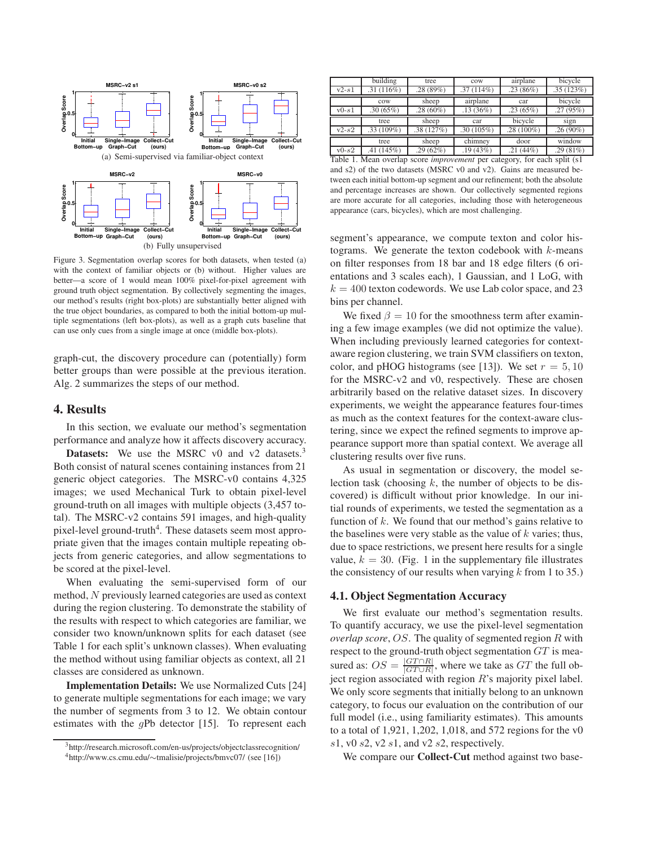

Figure 3. Segmentation overlap scores for both datasets, when tested (a) with the context of familiar objects or (b) without. Higher values are better—a score of 1 would mean 100% pixel-for-pixel agreement with ground truth object segmentation. By collectively segmenting the images, our method's results (right box-plots) are substantially better aligned with the true object boundaries, as compared to both the initial bottom-up multiple segmentations (left box-plots), as well as a graph cuts baseline that can use only cues from a single image at once (middle box-plots).

graph-cut, the discovery procedure can (potentially) form better groups than were possible at the previous iteration. Alg. 2 summarizes the steps of our method.

### **4. Results**

In this section, we evaluate our method's segmentation performance and analyze how it affects discovery accuracy.

**Datasets:** We use the MSRC v0 and v2 datasets.<sup>3</sup> Both consist of natural scenes containing instances from 21 generic object categories. The MSRC-v0 contains 4,325 images; we used Mechanical Turk to obtain pixel-level ground-truth on all images with multiple objects (3,457 total). The MSRC-v2 contains 591 images, and high-quality pixel-level ground-truth<sup>4</sup>. These datasets seem most appropriate given that the images contain multiple repeating objects from generic categories, and allow segmentations to be scored at the pixel-level.

When evaluating the semi-supervised form of our method, N previously learned categories are used as context during the region clustering. To demonstrate the stability of the results with respect to which categories are familiar, we consider two known/unknown splits for each dataset (see Table 1 for each split's unknown classes). When evaluating the method without using familiar objects as context, all 21 classes are considered as unknown.

**Implementation Details:** We use Normalized Cuts [24] to generate multiple segmentations for each image; we vary the number of segments from 3 to 12. We obtain contour estimates with the gPb detector [15]. To represent each

|                                                                                  | building  | tree        | cow       | airplane     | bicycle     |
|----------------------------------------------------------------------------------|-----------|-------------|-----------|--------------|-------------|
| $v2-s1$                                                                          | .31(116%) | .28(89%)    | .37(114%) | .23(86%)     | .35(123%)   |
|                                                                                  | cow       | sheep       | airplane  | car          | bicycle     |
| $v0-s1$                                                                          | .30(65%)  | $.28(60\%)$ | .13(36%)  | .23(65%)     | .27(95%)    |
|                                                                                  | tree      | sheep       | car       | bicycle      | sign        |
| $v2-s2$                                                                          | .33(109%) | .38(127%)   | .30(105%) | $.28(100\%)$ | $.26(90\%)$ |
|                                                                                  | tree      | sheep       | chimney   | door         | window      |
| $v0-s2$                                                                          | .41(145%) | .29(62%)    | .19(43%)  | .21(44%)     | .29(81%)    |
| Table 1. Mean overlap score <i>improvement</i> per category, for each split (s1) |           |             |           |              |             |

and s2) of the two datasets (MSRC v0 and v2). Gains are measured between each initial bottom-up segment and our refinement; both the absolute and percentage increases are shown. Our collectively segmented regions are more accurate for all categories, including those with heterogeneous appearance (cars, bicycles), which are most challenging.

segment's appearance, we compute texton and color histograms. We generate the texton codebook with  $k$ -means on filter responses from 18 bar and 18 edge filters (6 orientations and 3 scales each), 1 Gaussian, and 1 LoG, with  $k = 400$  texton codewords. We use Lab color space, and 23 bins per channel.

We fixed  $\beta = 10$  for the smoothness term after examining a few image examples (we did not optimize the value). When including previously learned categories for contextaware region clustering, we train SVM classifiers on texton, color, and pHOG histograms (see [13]). We set  $r = 5, 10$ for the MSRC-v2 and v0, respectively. These are chosen arbitrarily based on the relative dataset sizes. In discovery experiments, we weight the appearance features four-times as much as the context features for the context-aware clustering, since we expect the refined segments to improve appearance support more than spatial context. We average all clustering results over five runs.

As usual in segmentation or discovery, the model selection task (choosing  $k$ , the number of objects to be discovered) is difficult without prior knowledge. In our initial rounds of experiments, we tested the segmentation as a function of  $k$ . We found that our method's gains relative to the baselines were very stable as the value of  $k$  varies; thus, due to space restrictions, we present here results for a single value,  $k = 30$ . (Fig. 1 in the supplementary file illustrates the consistency of our results when varying  $k$  from 1 to 35.)

### **4.1. Object Segmentation Accuracy**

We first evaluate our method's segmentation results. To quantify accuracy, we use the pixel-level segmentation *overlap score*, OS. The quality of segmented region R with respect to the ground-truth object segmentation GT is measured as:  $OS = \frac{|GT \cap R|}{|GT \cap R|}$  $\frac{|G_T||R|}{|G_T \cup R|}$ , where we take as  $GT$  the full object region associated with region  $R$ 's majority pixel label. We only score segments that initially belong to an unknown category, to focus our evaluation on the contribution of our full model (i.e., using familiarity estimates). This amounts to a total of 1,921, 1,202, 1,018, and 572 regions for the v0 s1, v0 s2, v2 s1, and v2 s2, respectively.

We compare our **Collect-Cut** method against two base-

<sup>3</sup>http://research.microsoft.com/en-us/projects/objectclassrecognition/ <sup>4</sup>http://www.cs.cmu.edu/∼tmalisie/projects/bmvc07/ (see [16])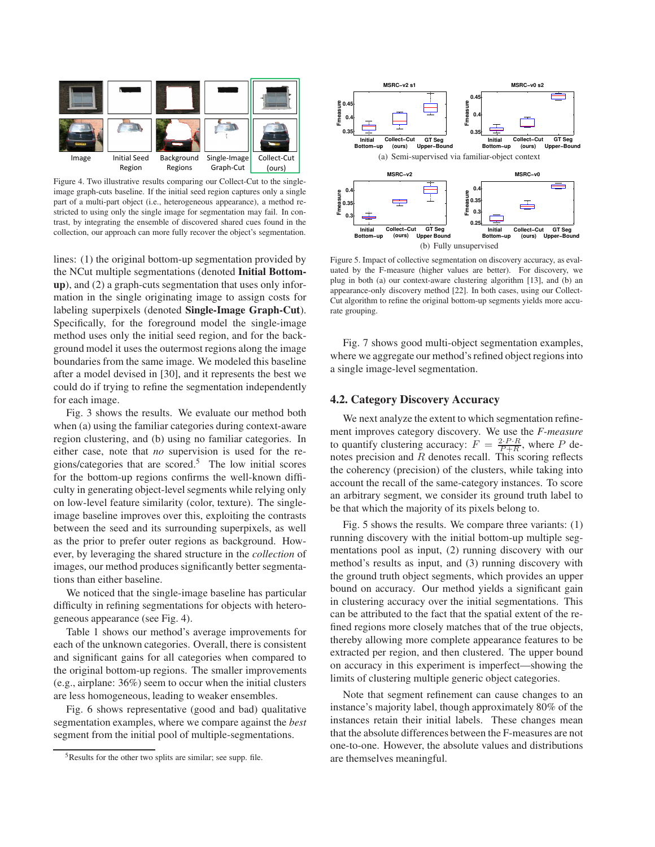

Figure 4. Two illustrative results comparing our Collect-Cut to the singleimage graph-cuts baseline. If the initial seed region captures only a single part of a multi-part object (i.e., heterogeneous appearance), a method restricted to using only the single image for segmentation may fail. In contrast, by integrating the ensemble of discovered shared cues found in the collection, our approach can more fully recover the object's segmentation.

lines: (1) the original bottom-up segmentation provided by the NCut multiple segmentations (denoted **Initial Bottomup**), and (2) a graph-cuts segmentation that uses only information in the single originating image to assign costs for labeling superpixels (denoted **Single-Image Graph-Cut**). Specifically, for the foreground model the single-image method uses only the initial seed region, and for the background model it uses the outermost regions along the image boundaries from the same image. We modeled this baseline after a model devised in [30], and it represents the best we could do if trying to refine the segmentation independently for each image.

Fig. 3 shows the results. We evaluate our method both when (a) using the familiar categories during context-aware region clustering, and (b) using no familiar categories. In either case, note that *no* supervision is used for the regions/categories that are scored.<sup>5</sup> The low initial scores for the bottom-up regions confirms the well-known difficulty in generating object-level segments while relying only on low-level feature similarity (color, texture). The singleimage baseline improves over this, exploiting the contrasts between the seed and its surrounding superpixels, as well as the prior to prefer outer regions as background. However, by leveraging the shared structure in the *collection* of images, our method produces significantly better segmentations than either baseline.

We noticed that the single-image baseline has particular difficulty in refining segmentations for objects with heterogeneous appearance (see Fig. 4).

Table 1 shows our method's average improvements for each of the unknown categories. Overall, there is consistent and significant gains for all categories when compared to the original bottom-up regions. The smaller improvements (e.g., airplane: 36%) seem to occur when the initial clusters are less homogeneous, leading to weaker ensembles.

Fig. 6 shows representative (good and bad) qualitative segmentation examples, where we compare against the *best* segment from the initial pool of multiple-segmentations.



Figure 5. Impact of collective segmentation on discovery accuracy, as evaluated by the F-measure (higher values are better). For discovery, we plug in both (a) our context-aware clustering algorithm [13], and (b) an appearance-only discovery method [22]. In both cases, using our Collect-Cut algorithm to refine the original bottom-up segments yields more accurate grouping.

Fig. 7 shows good multi-object segmentation examples, where we aggregate our method's refined object regions into a single image-level segmentation.

### **4.2. Category Discovery Accuracy**

We next analyze the extent to which segmentation refinement improves category discovery. We use the *F-measure* to quantify clustering accuracy:  $F = \frac{2 \cdot P \cdot R}{P + R}$ , where P denotes precision and  $R$  denotes recall. This scoring reflects the coherency (precision) of the clusters, while taking into account the recall of the same-category instances. To score an arbitrary segment, we consider its ground truth label to be that which the majority of its pixels belong to.

Fig. 5 shows the results. We compare three variants: (1) running discovery with the initial bottom-up multiple segmentations pool as input, (2) running discovery with our method's results as input, and (3) running discovery with the ground truth object segments, which provides an upper bound on accuracy. Our method yields a significant gain in clustering accuracy over the initial segmentations. This can be attributed to the fact that the spatial extent of the refined regions more closely matches that of the true objects, thereby allowing more complete appearance features to be extracted per region, and then clustered. The upper bound on accuracy in this experiment is imperfect—showing the limits of clustering multiple generic object categories.

Note that segment refinement can cause changes to an instance's majority label, though approximately 80% of the instances retain their initial labels. These changes mean that the absolute differences between the F-measures are not one-to-one. However, the absolute values and distributions are themselves meaningful.

<sup>&</sup>lt;sup>5</sup>Results for the other two splits are similar; see supp. file.